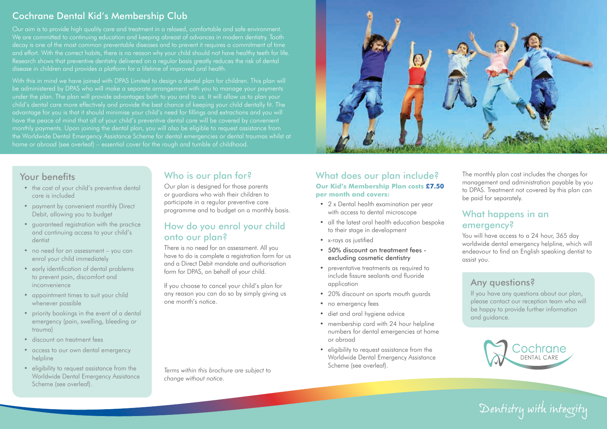## Cochrane Dental Kid's Membership Club

We are committed to continuing education and keeping abreast of advances in modern dentistry. Tooth decay is one of the most common preventable diseases and to prevent it requires a commitment of time and effort. With the correct habits, there is no reason why your child should not have healthy teeth for life. Research shows that preventive dentistry delivered on a regular basis greatly reduces the risk of dental disease in children and provides a platform for a lifetime of improved oral health.

With this in mind we have joined with DPAS Limited to design a dental plan for children. This plan will under the plan. The plan will provide advantages both to you and to us. It will allow us to plan your child's dental care more effectively and provide the best chance of keeping your child dentally fit. The advantage for you is that it should minimise your child's need for fillings and extractions and you will have the peace of mind that all of your child's preventive dental care will be covered by convenient monthly payments. Upon joining the dental plan, you will also be eligible to request assistance from home or abroad (see overleaf) – essential cover for the rough and tumble of childhood.



## Your benefits

- the cost of your child's preventive dental care is included
- payment by convenient monthly Direct Debit, allowing you to budget
- guaranteed registration with the practice and continuing access to your child's dentist
- no need for an assessment you can enrol your child immediately
- early identification of dental problems to prevent pain, discomfort and inconvenience
- appointment times to suit your child whenever possible
- priority bookings in the event of a dental emergency (pain, swelling, bleeding or trauma)
- discount on treatment fees
- access to our own dental emergency helpline
- eligibility to request assistance from the Worldwide Dental Emergency Assistance Scheme (see overleaf).

## Who is our plan for?

Our plan is designed for those parents or guardians who wish their children to participate in a regular preventive care programme and to budget on a monthly basis.

### How do you enrol your child onto our plan?

There is no need for an assessment. All you have to do is complete a registration form for us and a Direct Debit mandate and authorisation form for DPAS, on behalf of your child.

If you choose to cancel your child's plan for any reason you can do so by simply giving us one month's notice.

Scheme (see overleaf). *Terms within this brochure are subject to change without notice.*

#### What does our plan include? **Our Kid's Membership Plan costs £7.50 per month and covers:**

- 2 x Dental health examination per year with access to dental microscope
- all the latest oral health education bespoke to their stage in development
- x-rays as justified
- 50% discount on treatment fees excluding cosmetic dentistry
- preventative treatments as required to include fissure sealants and fluoride application
- 20% discount on sports mouth guards
- no emergency fees
- diet and oral hygiene advice
- membership card with 24 hour helpline numbers for dental emergencies at home or abroad
- eligibility to request assistance from the Worldwide Dental Emergency Assistance

The monthly plan cost includes the charges for management and administration payable by you to DPAS. Treatment not covered by this plan can be paid for separately.

## What happens in an emergency?

You will have access to a 24 hour, 365 day worldwide dental emergency helpline, which will endeavour to find an English speaking dentist to assist you.

## Any questions?

If you have any questions about our plan, please contact our reception team who will be happy to provide further information and guidance.



*Dentistry with integrity*